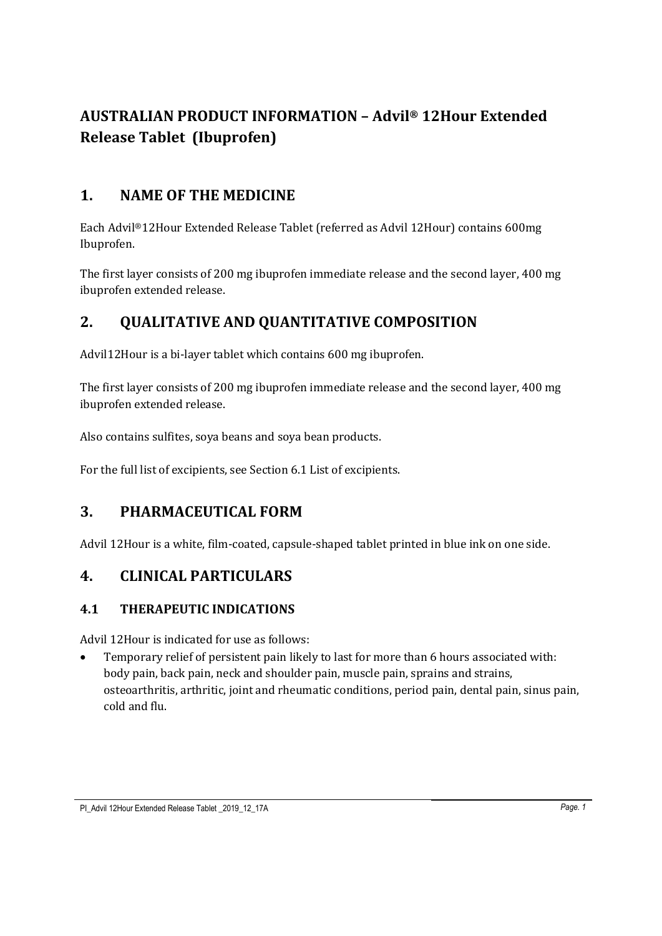# **AUSTRALIAN PRODUCT INFORMATION – Advil® 12Hour Extended Release Tablet (Ibuprofen)**

# **1. NAME OF THE MEDICINE**

Each Advil®12Hour Extended Release Tablet (referred as Advil 12Hour) contains 600mg Ibuprofen.

The first layer consists of 200 mg ibuprofen immediate release and the second layer, 400 mg ibuprofen extended release.

# **2. QUALITATIVE AND QUANTITATIVE COMPOSITION**

Advil12Hour is a bi-layer tablet which contains 600 mg ibuprofen.

The first layer consists of 200 mg ibuprofen immediate release and the second layer, 400 mg ibuprofen extended release.

Also contains sulfites, soya beans and soya bean products.

For the full list of excipients, see Section 6.1 List of excipients.

# **3. PHARMACEUTICAL FORM**

Advil 12Hour is a white, film-coated, capsule-shaped tablet printed in blue ink on one side.

# **4. CLINICAL PARTICULARS**

## **4.1 THERAPEUTIC INDICATIONS**

Advil 12Hour is indicated for use as follows:

• Temporary relief of persistent pain likely to last for more than 6 hours associated with: body pain, back pain, neck and shoulder pain, muscle pain, sprains and strains, osteoarthritis, arthritic, joint and rheumatic conditions, period pain, dental pain, sinus pain, cold and flu.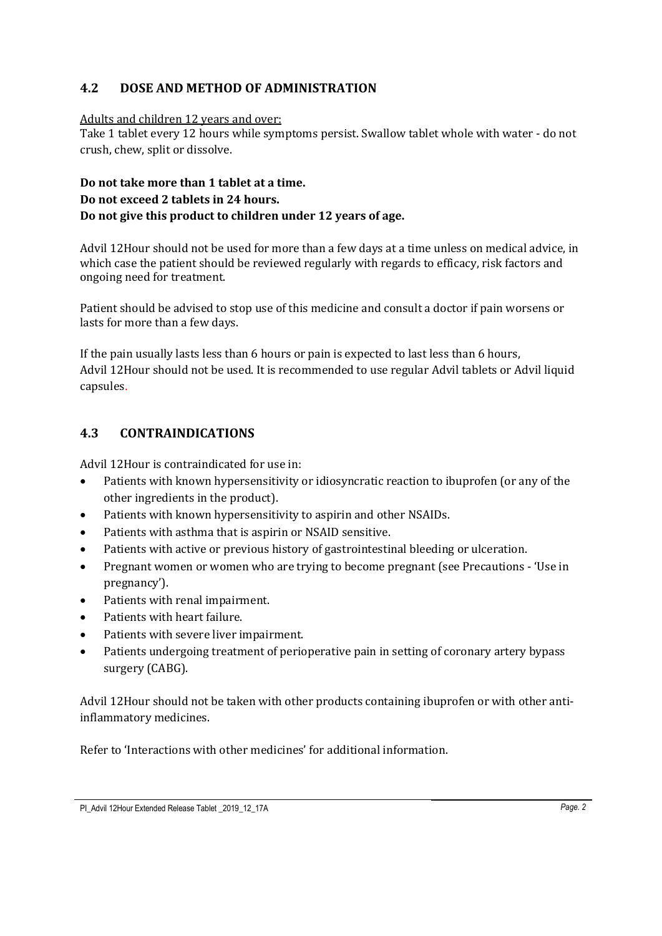## **4.2 DOSE AND METHOD OF ADMINISTRATION**

#### Adults and children 12 years and over:

Take 1 tablet every 12 hours while symptoms persist. Swallow tablet whole with water - do not crush, chew, split or dissolve.

## **Do not take more than 1 tablet at a time. Do not exceed 2 tablets in 24 hours. Do not give this product to children under 12 years of age.**

Advil 12Hour should not be used for more than a few days at a time unless on medical advice, in which case the patient should be reviewed regularly with regards to efficacy, risk factors and ongoing need for treatment.

Patient should be advised to stop use of this medicine and consult a doctor if pain worsens or lasts for more than a few days.

If the pain usually lasts less than 6 hours or pain is expected to last less than 6 hours, Advil 12Hour should not be used. It is recommended to use regular Advil tablets or Advil liquid capsules.

## **4.3 CONTRAINDICATIONS**

Advil 12Hour is contraindicated for use in:

- Patients with known hypersensitivity or idiosyncratic reaction to ibuprofen (or any of the other ingredients in the product).
- Patients with known hypersensitivity to aspirin and other NSAIDs.
- Patients with asthma that is aspirin or NSAID sensitive.
- Patients with active or previous history of gastrointestinal bleeding or ulceration.
- Pregnant women or women who are trying to become pregnant (see Precautions 'Use in pregnancy').
- Patients with renal impairment.
- Patients with heart failure.
- Patients with severe liver impairment.
- Patients undergoing treatment of perioperative pain in setting of coronary artery bypass surgery (CABG).

Advil 12Hour should not be taken with other products containing ibuprofen or with other antiinflammatory medicines.

Refer to 'Interactions with other medicines' for additional information.

PI\_Advil 12Hour Extended Release Tablet \_2019\_12\_17A *Page. 2*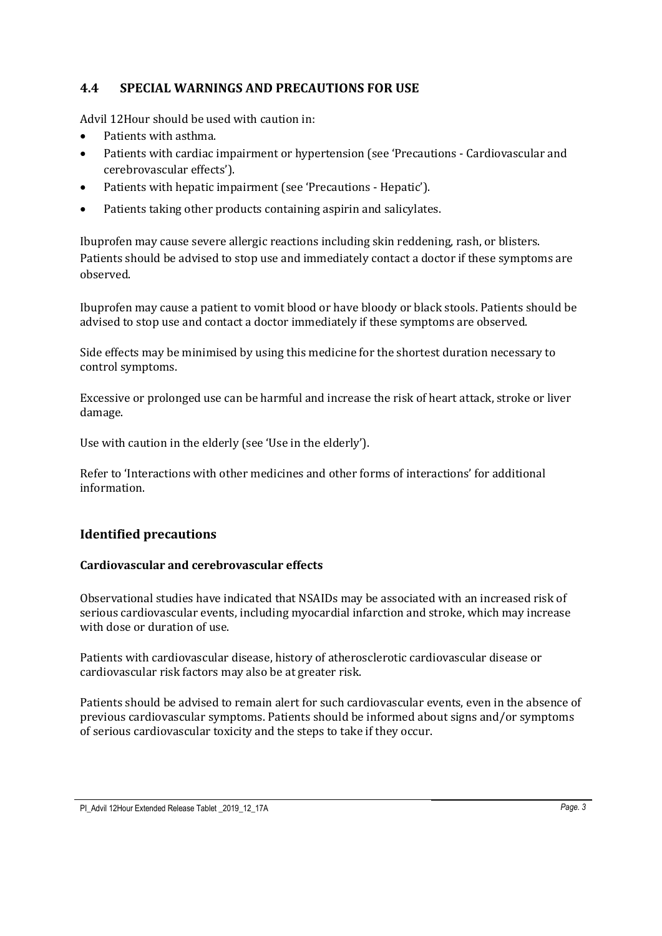### **4.4 SPECIAL WARNINGS AND PRECAUTIONS FOR USE**

Advil 12Hour should be used with caution in:

- Patients with asthma.
- Patients with cardiac impairment or hypertension (see 'Precautions Cardiovascular and cerebrovascular effects').
- Patients with hepatic impairment (see 'Precautions Hepatic').
- Patients taking other products containing aspirin and salicylates.

Ibuprofen may cause severe allergic reactions including skin reddening, rash, or blisters. Patients should be advised to stop use and immediately contact a doctor if these symptoms are observed.

Ibuprofen may cause a patient to vomit blood or have bloody or black stools. Patients should be advised to stop use and contact a doctor immediately if these symptoms are observed.

Side effects may be minimised by using this medicine for the shortest duration necessary to control symptoms.

Excessive or prolonged use can be harmful and increase the risk of heart attack, stroke or liver damage.

Use with caution in the elderly (see 'Use in the elderly').

Refer to 'Interactions with other medicines and other forms of interactions' for additional information.

## **Identified precautions**

#### **Cardiovascular and cerebrovascular effects**

Observational studies have indicated that NSAIDs may be associated with an increased risk of serious cardiovascular events, including myocardial infarction and stroke, which may increase with dose or duration of use.

Patients with cardiovascular disease, history of atherosclerotic cardiovascular disease or cardiovascular risk factors may also be at greater risk.

Patients should be advised to remain alert for such cardiovascular events, even in the absence of previous cardiovascular symptoms. Patients should be informed about signs and/or symptoms of serious cardiovascular toxicity and the steps to take if they occur.

PI\_Advil 12Hour Extended Release Tablet \_2019\_12\_17A *Page. 3*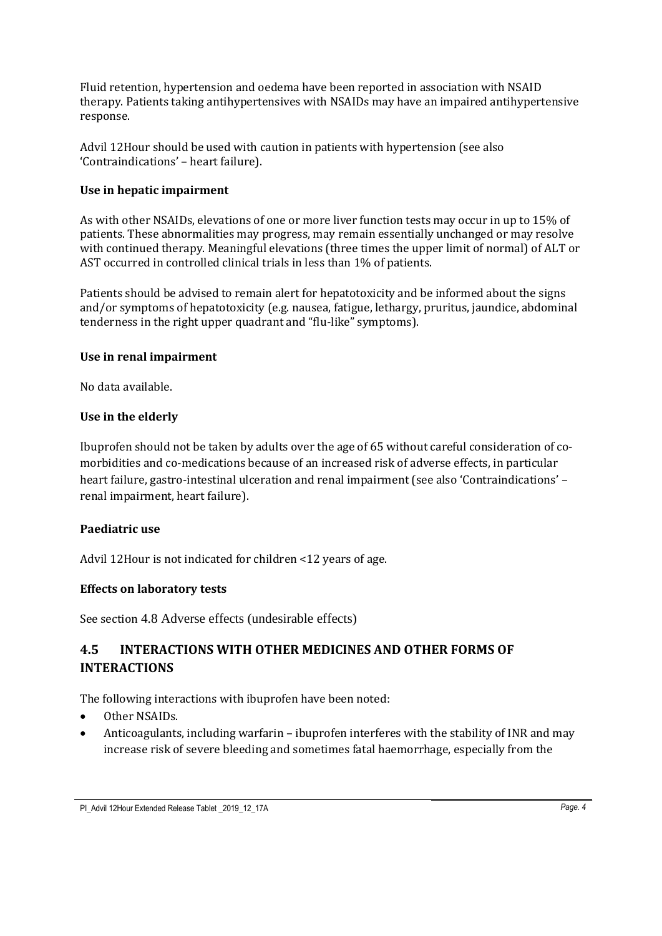Fluid retention, hypertension and oedema have been reported in association with NSAID therapy. Patients taking antihypertensives with NSAIDs may have an impaired antihypertensive response.

Advil 12Hour should be used with caution in patients with hypertension (see also 'Contraindications' – heart failure).

#### **Use in hepatic impairment**

As with other NSAIDs, elevations of one or more liver function tests may occur in up to 15% of patients. These abnormalities may progress, may remain essentially unchanged or may resolve with continued therapy. Meaningful elevations (three times the upper limit of normal) of ALT or AST occurred in controlled clinical trials in less than 1% of patients.

Patients should be advised to remain alert for hepatotoxicity and be informed about the signs and/or symptoms of hepatotoxicity (e.g. nausea, fatigue, lethargy, pruritus, jaundice, abdominal tenderness in the right upper quadrant and "flu-like" symptoms).

#### **Use in renal impairment**

No data available.

#### **Use in the elderly**

Ibuprofen should not be taken by adults over the age of 65 without careful consideration of comorbidities and co-medications because of an increased risk of adverse effects, in particular heart failure, gastro-intestinal ulceration and renal impairment (see also 'Contraindications' – renal impairment, heart failure).

### **Paediatric use**

Advil 12Hour is not indicated for children <12 years of age.

### **Effects on laboratory tests**

See section 4.8 Adverse effects (undesirable effects)

## **4.5 INTERACTIONS WITH OTHER MEDICINES AND OTHER FORMS OF INTERACTIONS**

The following interactions with ibuprofen have been noted:

- Other NSAIDs.
- Anticoagulants, including warfarin ibuprofen interferes with the stability of INR and may increase risk of severe bleeding and sometimes fatal haemorrhage, especially from the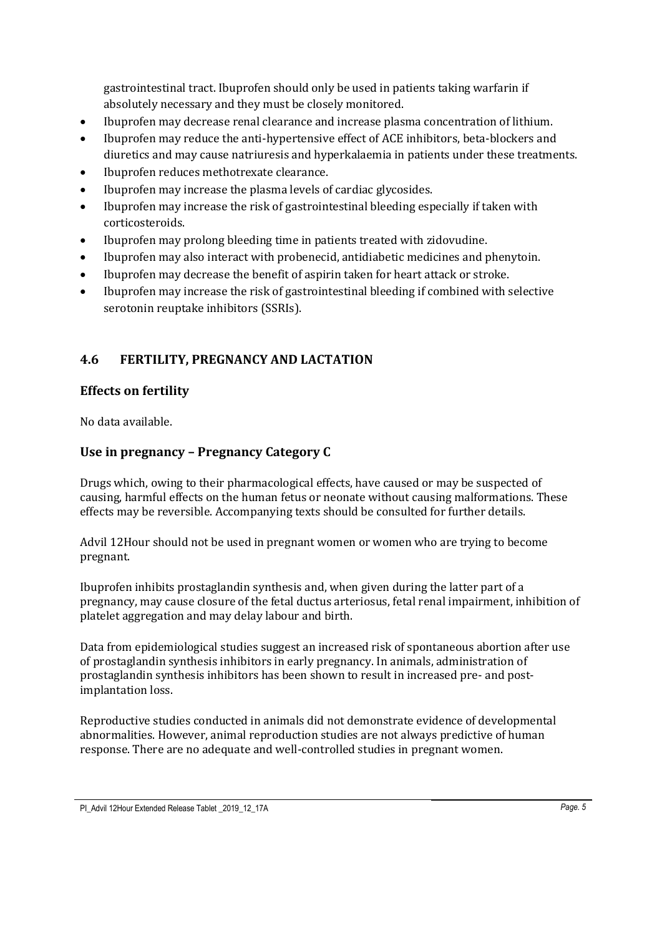gastrointestinal tract. Ibuprofen should only be used in patients taking warfarin if absolutely necessary and they must be closely monitored.

- Ibuprofen may decrease renal clearance and increase plasma concentration of lithium.
- Ibuprofen may reduce the anti-hypertensive effect of ACE inhibitors, beta-blockers and diuretics and may cause natriuresis and hyperkalaemia in patients under these treatments.
- Ibuprofen reduces methotrexate clearance.
- Ibuprofen may increase the plasma levels of cardiac glycosides.
- Ibuprofen may increase the risk of gastrointestinal bleeding especially if taken with corticosteroids.
- Ibuprofen may prolong bleeding time in patients treated with zidovudine.
- Ibuprofen may also interact with probenecid, antidiabetic medicines and phenytoin.
- Ibuprofen may decrease the benefit of aspirin taken for heart attack or stroke.
- Ibuprofen may increase the risk of gastrointestinal bleeding if combined with selective serotonin reuptake inhibitors (SSRIs).

## **4.6 FERTILITY, PREGNANCY AND LACTATION**

### **Effects on fertility**

No data available.

## **Use in pregnancy – Pregnancy Category C**

Drugs which, owing to their pharmacological effects, have caused or may be suspected of causing, harmful effects on the human fetus or neonate without causing malformations. These effects may be reversible. Accompanying texts should be consulted for further details.

Advil 12Hour should not be used in pregnant women or women who are trying to become pregnant.

Ibuprofen inhibits prostaglandin synthesis and, when given during the latter part of a pregnancy, may cause closure of the fetal ductus arteriosus, fetal renal impairment, inhibition of platelet aggregation and may delay labour and birth.

Data from epidemiological studies suggest an increased risk of spontaneous abortion after use of prostaglandin synthesis inhibitors in early pregnancy. In animals, administration of prostaglandin synthesis inhibitors has been shown to result in increased pre- and postimplantation loss.

Reproductive studies conducted in animals did not demonstrate evidence of developmental abnormalities. However, animal reproduction studies are not always predictive of human response. There are no adequate and well-controlled studies in pregnant women.

PI\_Advil 12Hour Extended Release Tablet \_2019\_12\_17A *Page. 5*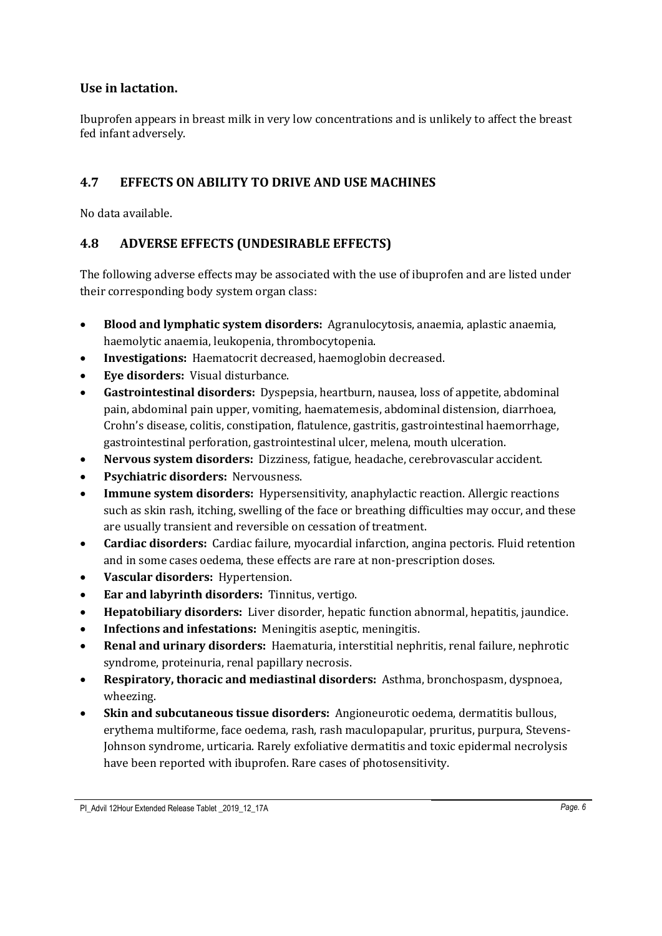### **Use in lactation.**

Ibuprofen appears in breast milk in very low concentrations and is unlikely to affect the breast fed infant adversely.

### **4.7 EFFECTS ON ABILITY TO DRIVE AND USE MACHINES**

No data available.

### **4.8 ADVERSE EFFECTS (UNDESIRABLE EFFECTS)**

The following adverse effects may be associated with the use of ibuprofen and are listed under their corresponding body system organ class:

- **Blood and lymphatic system disorders:** Agranulocytosis, anaemia, aplastic anaemia, haemolytic anaemia, leukopenia, thrombocytopenia.
- **Investigations:** Haematocrit decreased, haemoglobin decreased.
- **Eye disorders:** Visual disturbance.
- **Gastrointestinal disorders:** Dyspepsia, heartburn, nausea, loss of appetite, abdominal pain, abdominal pain upper, vomiting, haematemesis, abdominal distension, diarrhoea, Crohn's disease, colitis, constipation, flatulence, gastritis, gastrointestinal haemorrhage, gastrointestinal perforation, gastrointestinal ulcer, melena, mouth ulceration.
- **Nervous system disorders:** Dizziness, fatigue, headache, cerebrovascular accident.
- **Psychiatric disorders:** Nervousness.
- **Immune system disorders:** Hypersensitivity, anaphylactic reaction. Allergic reactions such as skin rash, itching, swelling of the face or breathing difficulties may occur, and these are usually transient and reversible on cessation of treatment.
- **Cardiac disorders:** Cardiac failure, myocardial infarction, angina pectoris. Fluid retention and in some cases oedema, these effects are rare at non-prescription doses.
- **Vascular disorders:** Hypertension.
- **Ear and labyrinth disorders:** Tinnitus, vertigo.
- **Hepatobiliary disorders:** Liver disorder, hepatic function abnormal, hepatitis, jaundice.
- **Infections and infestations:** Meningitis aseptic, meningitis.
- **Renal and urinary disorders:** Haematuria, interstitial nephritis, renal failure, nephrotic syndrome, proteinuria, renal papillary necrosis.
- **Respiratory, thoracic and mediastinal disorders:** Asthma, bronchospasm, dyspnoea, wheezing.
- **Skin and subcutaneous tissue disorders:** Angioneurotic oedema, dermatitis bullous, erythema multiforme, face oedema, rash, rash maculopapular, pruritus, purpura, Stevens-Johnson syndrome, urticaria. Rarely exfoliative dermatitis and toxic epidermal necrolysis have been reported with ibuprofen. Rare cases of photosensitivity.

PI\_Advil 12Hour Extended Release Tablet 2019 12 17A **Page. 6** Page. 6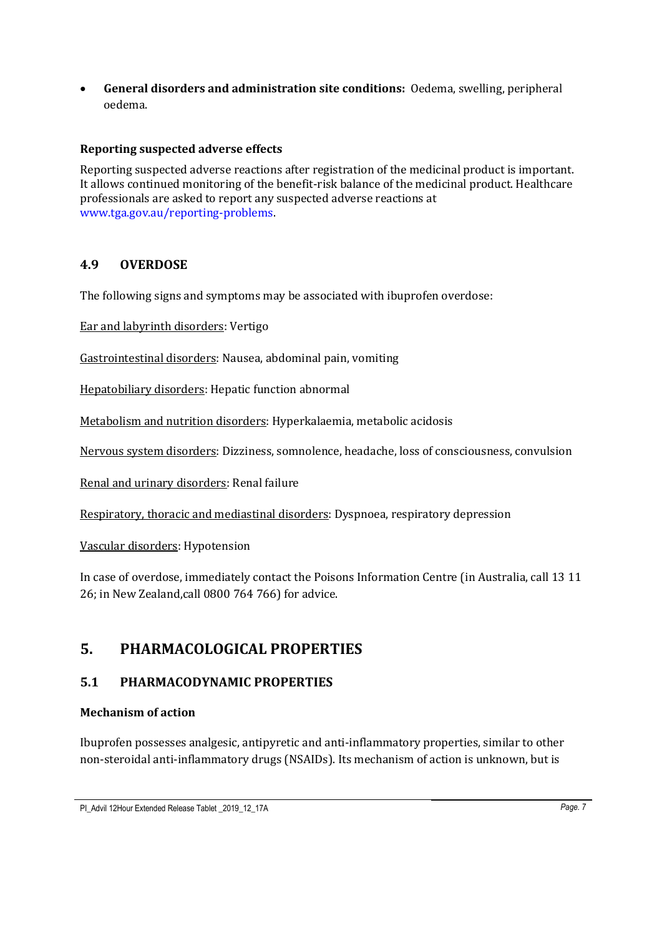• **General disorders and administration site conditions:** Oedema, swelling, peripheral oedema.

### **Reporting suspected adverse effects**

Reporting suspected adverse reactions after registration of the medicinal product is important. It allows continued monitoring of the benefit-risk balance of the medicinal product. Healthcare professionals are asked to report any suspected adverse reactions at [www.tga.gov.au/reporting-problems.](http://www.tga.gov.au/reporting-problems)

## **4.9 OVERDOSE**

The following signs and symptoms may be associated with ibuprofen overdose:

Ear and labyrinth disorders: Vertigo

Gastrointestinal disorders: Nausea, abdominal pain, vomiting

Hepatobiliary disorders: Hepatic function abnormal

Metabolism and nutrition disorders: Hyperkalaemia, metabolic acidosis

Nervous system disorders: Dizziness, somnolence, headache, loss of consciousness, convulsion

Renal and urinary disorders: Renal failure

Respiratory, thoracic and mediastinal disorders: Dyspnoea, respiratory depression

Vascular disorders: Hypotension

In case of overdose, immediately contact the Poisons Information Centre (in Australia, call 13 11 26; in New Zealand,call 0800 764 766) for advice.

# **5. PHARMACOLOGICAL PROPERTIES**

### **5.1 PHARMACODYNAMIC PROPERTIES**

#### **Mechanism of action**

Ibuprofen possesses analgesic, antipyretic and anti-inflammatory properties, similar to other non-steroidal anti-inflammatory drugs (NSAIDs). Its mechanism of action is unknown, but is

PI\_Advil 12Hour Extended Release Tablet \_2019\_12\_17A *Page. 7*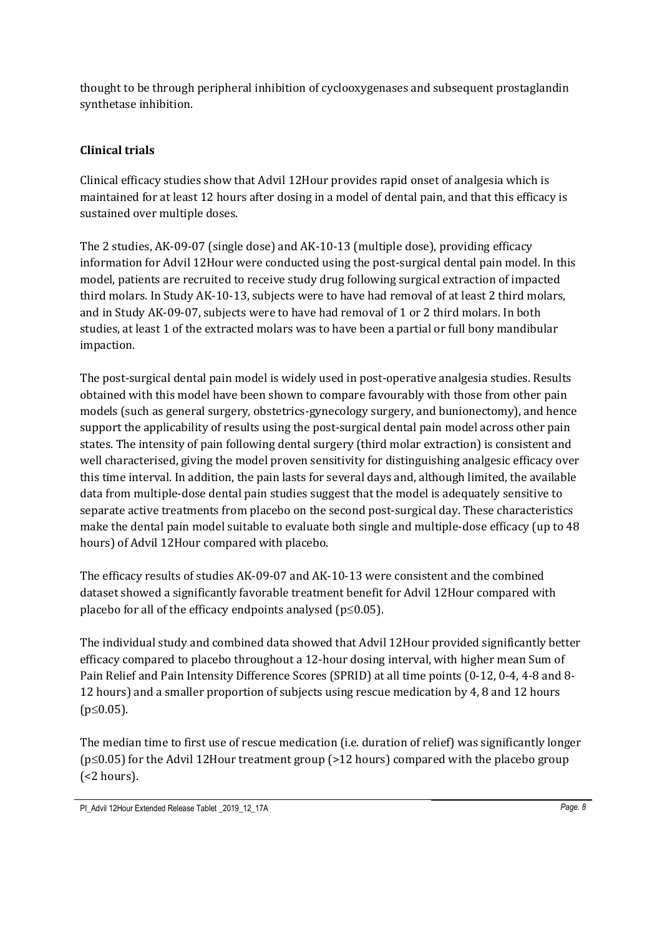thought to be through peripheral inhibition of cyclooxygenases and subsequent prostaglandin synthetase inhibition.

## **Clinical trials**

Clinical efficacy studies show that Advil 12Hour provides rapid onset of analgesia which is maintained for at least 12 hours after dosing in a model of dental pain, and that this efficacy is sustained over multiple doses.

The 2 studies, AK-09-07 (single dose) and AK-10-13 (multiple dose), providing efficacy information for Advil 12Hour were conducted using the post-surgical dental pain model. In this model, patients are recruited to receive study drug following surgical extraction of impacted third molars. In Study AK-10-13, subjects were to have had removal of at least 2 third molars, and in Study AK-09-07, subjects were to have had removal of 1 or 2 third molars. In both studies, at least 1 of the extracted molars was to have been a partial or full bony mandibular impaction.

The post-surgical dental pain model is widely used in post-operative analgesia studies. Results obtained with this model have been shown to compare favourably with those from other pain models (such as general surgery, obstetrics-gynecology surgery, and bunionectomy), and hence support the applicability of results using the post-surgical dental pain model across other pain states. The intensity of pain following dental surgery (third molar extraction) is consistent and well characterised, giving the model proven sensitivity for distinguishing analgesic efficacy over this time interval. In addition, the pain lasts for several days and, although limited, the available data from multiple-dose dental pain studies suggest that the model is adequately sensitive to separate active treatments from placebo on the second post-surgical day. These characteristics make the dental pain model suitable to evaluate both single and multiple-dose efficacy (up to 48 hours) of Advil 12Hour compared with placebo.

The efficacy results of studies AK-09-07 and AK-10-13 were consistent and the combined dataset showed a significantly favorable treatment benefit for Advil 12Hour compared with placebo for all of the efficacy endpoints analysed ( $p \leq 0.05$ ).

The individual study and combined data showed that Advil 12Hour provided significantly better efficacy compared to placebo throughout a 12-hour dosing interval, with higher mean Sum of Pain Relief and Pain Intensity Difference Scores (SPRID) at all time points (0-12, 0-4, 4-8 and 8- 12 hours) and a smaller proportion of subjects using rescue medication by 4, 8 and 12 hours  $(p \le 0.05)$ .

The median time to first use of rescue medication (i.e. duration of relief) was significantly longer  $(p \le 0.05)$  for the Advil 12Hour treatment group (>12 hours) compared with the placebo group (<2 hours).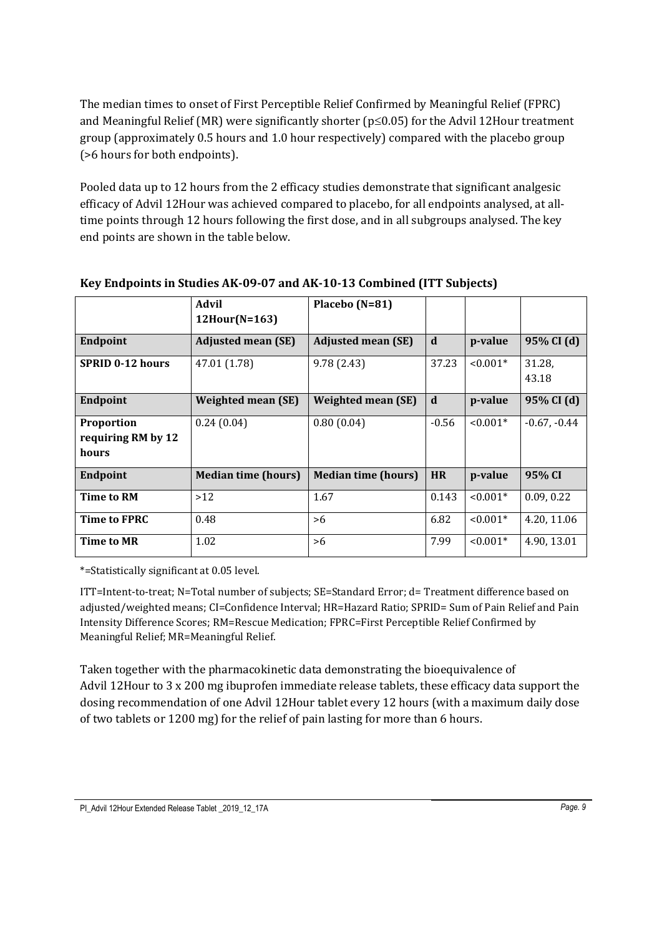The median times to onset of First Perceptible Relief Confirmed by Meaningful Relief (FPRC) and Meaningful Relief (MR) were significantly shorter ( $p \le 0.05$ ) for the Advil 12Hour treatment group (approximately 0.5 hours and 1.0 hour respectively) compared with the placebo group (>6 hours for both endpoints).

Pooled data up to 12 hours from the 2 efficacy studies demonstrate that significant analgesic efficacy of Advil 12Hour was achieved compared to placebo, for all endpoints analysed, at alltime points through 12 hours following the first dose, and in all subgroups analysed. The key end points are shown in the table below.

|                                                  | <b>Advil</b><br>$12$ Hour(N=163) | Placebo (N=81)             |           |            |                 |
|--------------------------------------------------|----------------------------------|----------------------------|-----------|------------|-----------------|
| Endpoint                                         | <b>Adjusted mean (SE)</b>        | <b>Adjusted mean (SE)</b>  | d         | p-value    | 95% CI (d)      |
| <b>SPRID 0-12 hours</b>                          | 47.01 (1.78)                     | 9.78(2.43)                 | 37.23     | $< 0.001*$ | 31.28,<br>43.18 |
| Endpoint                                         | <b>Weighted mean (SE)</b>        | <b>Weighted mean (SE)</b>  | d         | p-value    | 95% CI (d)      |
| <b>Proportion</b><br>requiring RM by 12<br>hours | 0.24(0.04)                       | 0.80(0.04)                 | $-0.56$   | $< 0.001*$ | $-0.67, -0.44$  |
| Endpoint                                         | <b>Median time (hours)</b>       | <b>Median time (hours)</b> | <b>HR</b> | p-value    | 95% CI          |
| Time to RM                                       | >12                              | 1.67                       | 0.143     | $< 0.001*$ | 0.09, 0.22      |
| Time to FPRC                                     | 0.48                             | >6                         | 6.82      | $< 0.001*$ | 4.20, 11.06     |
| Time to MR                                       | 1.02                             | >6                         | 7.99      | $< 0.001*$ | 4.90, 13.01     |

### **Key Endpoints in Studies AK-09-07 and AK-10-13 Combined (ITT Subjects)**

\*=Statistically significant at 0.05 level.

ITT=Intent-to-treat; N=Total number of subjects; SE=Standard Error; d= Treatment difference based on adjusted/weighted means; CI=Confidence Interval; HR=Hazard Ratio; SPRID= Sum of Pain Relief and Pain Intensity Difference Scores; RM=Rescue Medication; FPRC=First Perceptible Relief Confirmed by Meaningful Relief; MR=Meaningful Relief.

Taken together with the pharmacokinetic data demonstrating the bioequivalence of Advil 12Hour to 3 x 200 mg ibuprofen immediate release tablets, these efficacy data support the dosing recommendation of one Advil 12Hour tablet every 12 hours (with a maximum daily dose of two tablets or 1200 mg) for the relief of pain lasting for more than 6 hours.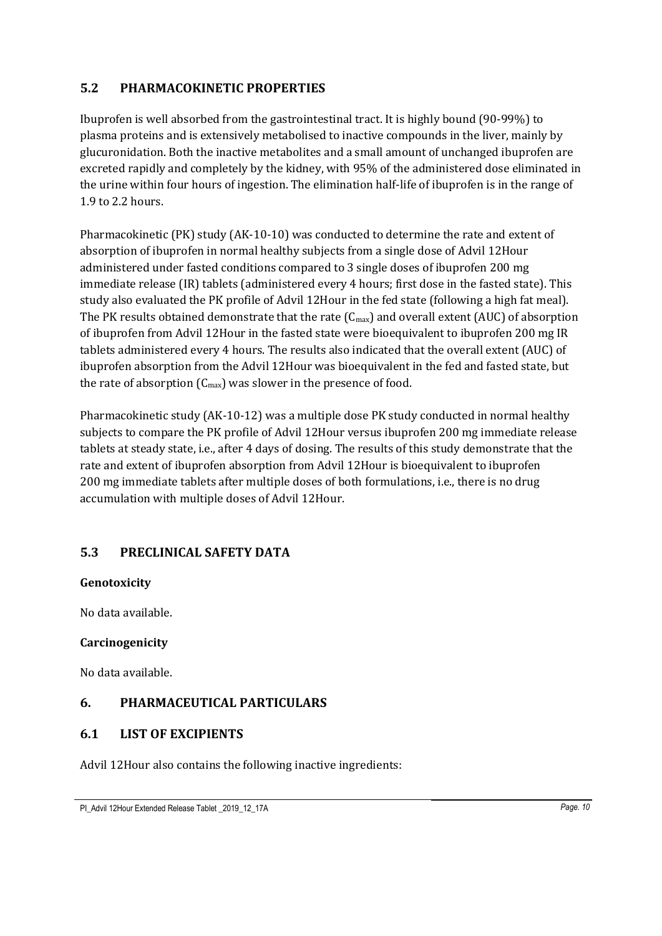## **5.2 PHARMACOKINETIC PROPERTIES**

Ibuprofen is well absorbed from the gastrointestinal tract. It is highly bound (90-99%) to plasma proteins and is extensively metabolised to inactive compounds in the liver, mainly by glucuronidation. Both the inactive metabolites and a small amount of unchanged ibuprofen are excreted rapidly and completely by the kidney, with 95% of the administered dose eliminated in the urine within four hours of ingestion. The elimination half-life of ibuprofen is in the range of 1.9 to 2.2 hours.

Pharmacokinetic (PK) study (AK-10-10) was conducted to determine the rate and extent of absorption of ibuprofen in normal healthy subjects from a single dose of Advil 12Hour administered under fasted conditions compared to 3 single doses of ibuprofen 200 mg immediate release (IR) tablets (administered every 4 hours; first dose in the fasted state). This study also evaluated the PK profile of Advil 12Hour in the fed state (following a high fat meal). The PK results obtained demonstrate that the rate  $(C_{\text{max}})$  and overall extent (AUC) of absorption of ibuprofen from Advil 12Hour in the fasted state were bioequivalent to ibuprofen 200 mg IR tablets administered every 4 hours. The results also indicated that the overall extent (AUC) of ibuprofen absorption from the Advil 12Hour was bioequivalent in the fed and fasted state, but the rate of absorption  $(C_{\text{max}})$  was slower in the presence of food.

Pharmacokinetic study (AK-10-12) was a multiple dose PK study conducted in normal healthy subjects to compare the PK profile of Advil 12Hour versus ibuprofen 200 mg immediate release tablets at steady state, i.e., after 4 days of dosing. The results of this study demonstrate that the rate and extent of ibuprofen absorption from Advil 12Hour is bioequivalent to ibuprofen 200 mg immediate tablets after multiple doses of both formulations, i.e., there is no drug accumulation with multiple doses of Advil 12Hour.

## **5.3 PRECLINICAL SAFETY DATA**

### **Genotoxicity**

No data available.

### **Carcinogenicity**

No data available.

## **6. PHARMACEUTICAL PARTICULARS**

### **6.1 LIST OF EXCIPIENTS**

Advil 12Hour also contains the following inactive ingredients: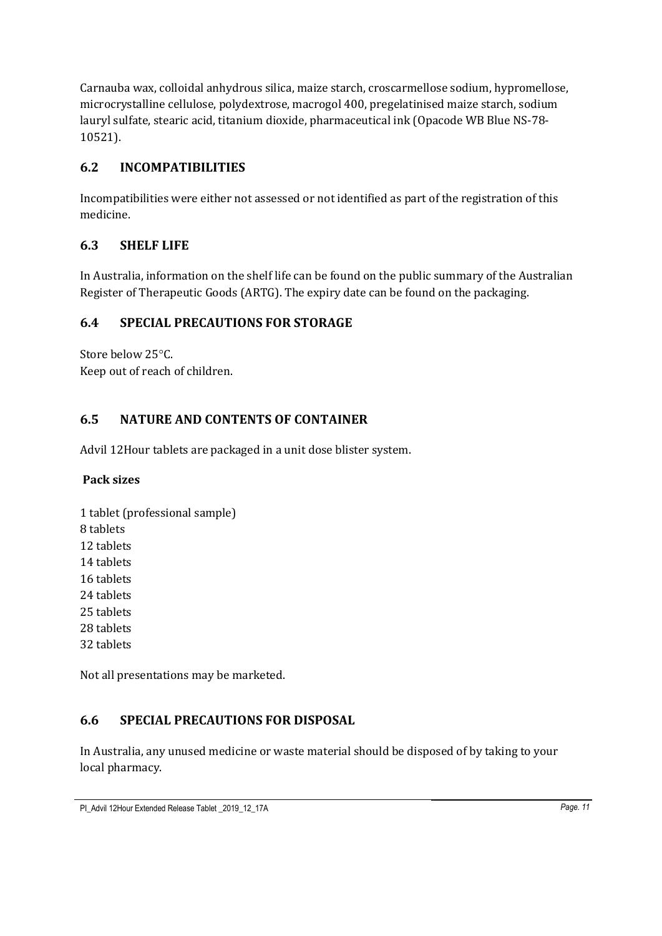Carnauba wax, colloidal anhydrous silica, maize starch, croscarmellose sodium, hypromellose, microcrystalline cellulose, polydextrose, macrogol 400, pregelatinised maize starch, sodium lauryl sulfate, stearic acid, titanium dioxide, pharmaceutical ink (Opacode WB Blue NS-78- 10521).

## **6.2 INCOMPATIBILITIES**

Incompatibilities were either not assessed or not identified as part of the registration of this medicine.

## **6.3 SHELF LIFE**

In Australia, information on the shelf life can be found on the public summary of the Australian Register of Therapeutic Goods (ARTG). The expiry date can be found on the packaging.

## **6.4 SPECIAL PRECAUTIONS FOR STORAGE**

Store below 25°C. Keep out of reach of children.

## **6.5 NATURE AND CONTENTS OF CONTAINER**

Advil 12Hour tablets are packaged in a unit dose blister system.

## **Pack sizes**

1 tablet (professional sample) 8 tablets 12 tablets 14 tablets 16 tablets 24 tablets 25 tablets 28 tablets 32 tablets

Not all presentations may be marketed.

## **6.6 SPECIAL PRECAUTIONS FOR DISPOSAL**

In Australia, any unused medicine or waste material should be disposed of by taking to your local pharmacy.

PI\_Advil 12Hour Extended Release Tablet \_2019\_12\_17A *Page. 11*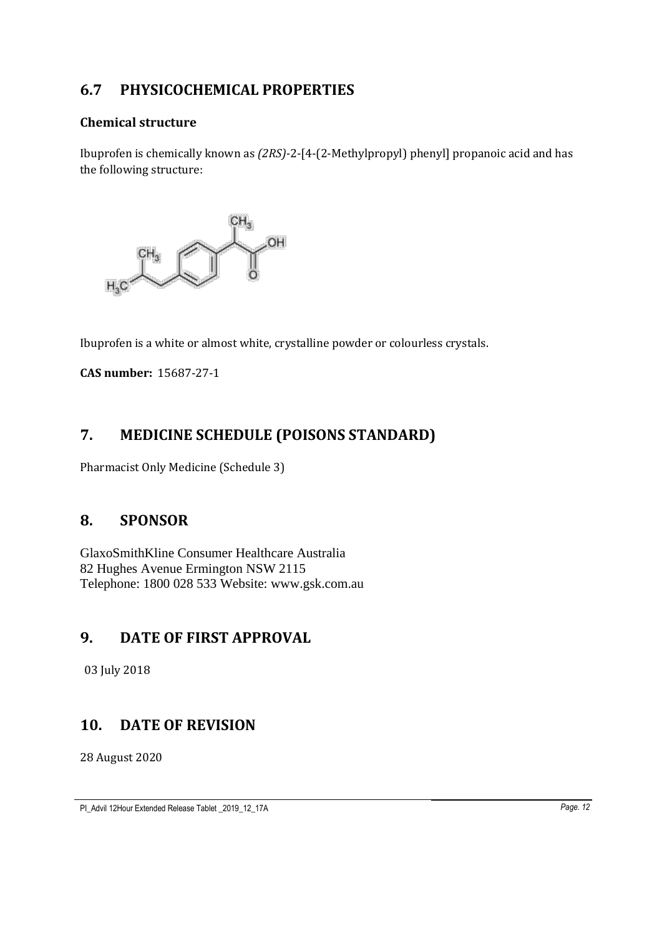# **6.7 PHYSICOCHEMICAL PROPERTIES**

### **Chemical structure**

Ibuprofen is chemically known as *(2RS)-*2-[4-(2-Methylpropyl) phenyl] propanoic acid and has the following structure:



Ibuprofen is a white or almost white, crystalline powder or colourless crystals.

**CAS number:** 15687-27-1

# **7. MEDICINE SCHEDULE (POISONS STANDARD)**

Pharmacist Only Medicine (Schedule 3)

## **8. SPONSOR**

GlaxoSmithKline Consumer Healthcare Australia 82 Hughes Avenue Ermington NSW 2115 Telephone: 1800 028 533 Website: www.gsk.com.au

## **9. DATE OF FIRST APPROVAL**

03 July 2018

## **10. DATE OF REVISION**

28 August 2020

PI\_Advil 12Hour Extended Release Tablet \_2019\_12\_17A *Page. 12*